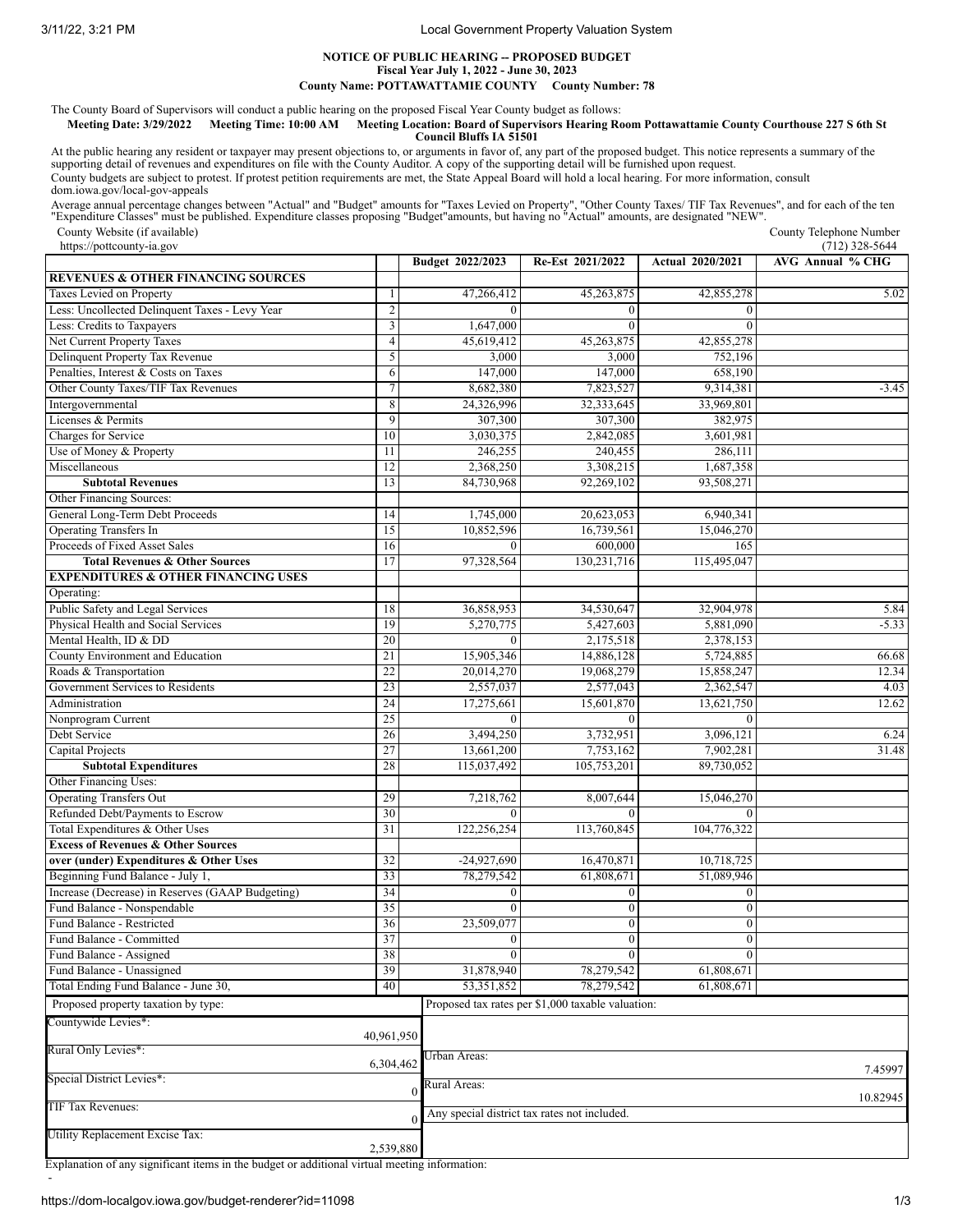3/11/22, 3:21 PM Local Government Property Valuation System

## **NOTICE OF PUBLIC HEARING -- PROPOSED BUDGET Fiscal Year July 1, 2022 - June 30, 2023**

**County Name: POTTAWATTAMIE COUNTY County Number: 78**

The County Board of Supervisors will conduct a public hearing on the proposed Fiscal Year County budget as follows:

## Meeting Date: 3/29/2022 Meeting Time: 10:00 AM Meeting Location: Board of Supervisors Hearing Room Pottawattamie County Courthouse 227 S 6th St **Council Bluffs IA 51501**

At the public hearing any resident or taxpayer may present objections to, or arguments in favor of, any part of the proposed budget. This notice represents a summary of the<br>supporting detail of revenues and expenditures on County budgets are subject to protest. If protest petition requirements are met, the State Appeal Board will hold a local hearing. For more information, consult dom.iowa.gov/local-gov-appeals

Average annual percentage changes between "Actual" and "Budget" amounts for "Taxes Levied on Property", "Other County Taxes/TIF Tax Revenues", and for each of the ten<br>"Expenditure Classes" must be published. Expenditure cl

County Website (if available) https://pottcounty-ia.gov

County Telephone Number  $(712)$  328-5644

|                                                            |                         | Budget 2022/2023 | Re-Est 2021/2022                                  | <b>Actual 2020/2021</b> | AVG Annual % CHG |
|------------------------------------------------------------|-------------------------|------------------|---------------------------------------------------|-------------------------|------------------|
| <b>REVENUES &amp; OTHER FINANCING SOURCES</b>              |                         |                  |                                                   |                         |                  |
| Taxes Levied on Property                                   | -1                      | 47,266,412       | 45,263,875                                        | 42,855,278              | 5.02             |
| Less: Uncollected Delinquent Taxes - Levy Year             | $\overline{c}$          | $\Omega$         | $\Omega$                                          | $\theta$                |                  |
| Less: Credits to Taxpayers                                 | $\overline{\mathbf{3}}$ | 1,647,000        | $\theta$                                          | $\bf{0}$                |                  |
| Net Current Property Taxes                                 | $\overline{4}$          | 45,619,412       | 45,263,875                                        | 42,855,278              |                  |
| Delinquent Property Tax Revenue                            | 5                       | 3,000            | 3,000                                             | 752,196                 |                  |
| Penalties, Interest & Costs on Taxes                       | 6                       | 147,000          | 147,000                                           | 658,190                 |                  |
| Other County Taxes/TIF Tax Revenues                        | $\overline{7}$          | 8,682,380        | 7,823,527                                         | 9,314,381               | $-3.45$          |
| Intergovernmental                                          | 8                       | 24,326,996       | 32,333,645                                        | 33,969,801              |                  |
| Licenses & Permits                                         | 9                       | 307,300          | 307,300                                           | 382,975                 |                  |
| Charges for Service                                        | 10                      | 3,030,375        | 2,842,085                                         | 3,601,981               |                  |
| Use of Money & Property                                    | 11                      | 246,255          | 240,455                                           | 286,111                 |                  |
| Miscellaneous                                              | 12                      | 2,368,250        | 3,308,215                                         | 1,687,358               |                  |
| <b>Subtotal Revenues</b>                                   | 13                      | 84,730,968       | 92,269,102                                        | 93,508,271              |                  |
| Other Financing Sources:                                   |                         |                  |                                                   |                         |                  |
| General Long-Term Debt Proceeds                            | 14                      | 1,745,000        | 20,623,053                                        | 6,940,341               |                  |
| <b>Operating Transfers In</b>                              | 15                      | 10,852,596       | 16,739,561                                        | 15,046,270              |                  |
| Proceeds of Fixed Asset Sales                              | 16                      |                  | 600,000                                           | 165                     |                  |
| <b>Total Revenues &amp; Other Sources</b>                  | 17                      | 97,328,564       | 130,231,716                                       | 115,495,047             |                  |
| <b>EXPENDITURES &amp; OTHER FINANCING USES</b>             |                         |                  |                                                   |                         |                  |
| Operating:                                                 |                         |                  |                                                   |                         |                  |
| Public Safety and Legal Services                           | 18                      | 36,858,953       | 34,530,647                                        | 32,904,978              | 5.84             |
| Physical Health and Social Services                        | 19                      | 5,270,775        | 5,427,603                                         | 5,881,090               | $-5.33$          |
| Mental Health, ID & DD                                     | 20                      | $\theta$         | 2,175,518                                         |                         |                  |
| County Environment and Education                           | 21                      | 15,905,346       | 14,886,128                                        | 2,378,153<br>5,724,885  | 66.68            |
|                                                            |                         | 20,014,270       |                                                   |                         |                  |
| Roads & Transportation<br>Government Services to Residents | 22                      |                  | 19,068,279                                        | 15,858,247              | 12.34            |
|                                                            | 23                      | 2,557,037        | 2,577,043                                         | 2,362,547               | 4.03             |
| Administration                                             | 24                      | 17,275,661       | 15,601,870                                        | 13,621,750              | 12.62            |
| Nonprogram Current                                         | 25                      | $\Omega$         | $\Omega$                                          | $\theta$                |                  |
| Debt Service                                               | 26                      | 3,494,250        | 3,732,951                                         | 3,096,121               | 6.24             |
| Capital Projects                                           | 27                      | 13,661,200       | 7,753,162                                         | 7,902,281               | 31.48            |
| <b>Subtotal Expenditures</b>                               | 28                      | 115,037,492      | 105,753,201                                       | 89,730,052              |                  |
| Other Financing Uses:                                      |                         |                  |                                                   |                         |                  |
| <b>Operating Transfers Out</b>                             | 29                      | 7,218,762        | 8,007,644                                         | 15,046,270              |                  |
| Refunded Debt/Payments to Escrow                           | 30                      | $\Omega$         | $\Omega$                                          | $\Omega$                |                  |
| Total Expenditures & Other Uses                            | 31                      | 122,256,254      | 113,760,845                                       | 104,776,322             |                  |
| <b>Excess of Revenues &amp; Other Sources</b>              |                         |                  |                                                   |                         |                  |
| over (under) Expenditures & Other Uses                     | 32                      | $-24,927,690$    | 16,470,871                                        | 10,718,725              |                  |
| Beginning Fund Balance - July 1,                           | 33                      | 78,279,542       | 61,808,671                                        | 51,089,946              |                  |
| Increase (Decrease) in Reserves (GAAP Budgeting)           | 34                      | $\boldsymbol{0}$ | $\boldsymbol{0}$                                  | $\boldsymbol{0}$        |                  |
| Fund Balance - Nonspendable                                | 35                      | $\overline{0}$   | $\boldsymbol{0}$                                  | $\mathbf{0}$            |                  |
| Fund Balance - Restricted                                  | 36                      | 23,509,077       | $\mathbf{0}$                                      | $\mathbf{0}$            |                  |
| Fund Balance - Committed                                   | 37                      | 0                | $\boldsymbol{0}$                                  | 0                       |                  |
| Fund Balance - Assigned                                    | 38                      | $\overline{0}$   | $\overline{0}$                                    | $\overline{0}$          |                  |
| Fund Balance - Unassigned                                  | 39                      | 31,878,940       | 78,279,542                                        | 61,808,671              |                  |
| Total Ending Fund Balance - June 30,                       | 40                      | 53,351,852       | 78,279,542                                        | 61,808,671              |                  |
| Proposed property taxation by type:                        |                         |                  | Proposed tax rates per \$1,000 taxable valuation: |                         |                  |
| Countywide Levies*:                                        |                         |                  |                                                   |                         |                  |
|                                                            | 40,961,950              |                  |                                                   |                         |                  |
| Rural Only Levies*:                                        |                         | Urban Areas:     |                                                   |                         |                  |
|                                                            | 6,304,462               |                  |                                                   |                         | 7.45997          |
| Special District Levies*:                                  |                         | Rural Areas:     |                                                   |                         |                  |
|                                                            |                         | $\theta$         |                                                   |                         | 10.82945         |
| TIF Tax Revenues:                                          |                         |                  | Any special district tax rates not included.      |                         |                  |
|                                                            |                         |                  |                                                   |                         |                  |
| Utility Replacement Excise Tax:                            | 2,539,880               |                  |                                                   |                         |                  |
|                                                            |                         |                  |                                                   |                         |                  |

Explanation of any significant items in the budget or additional virtual meeting information:

-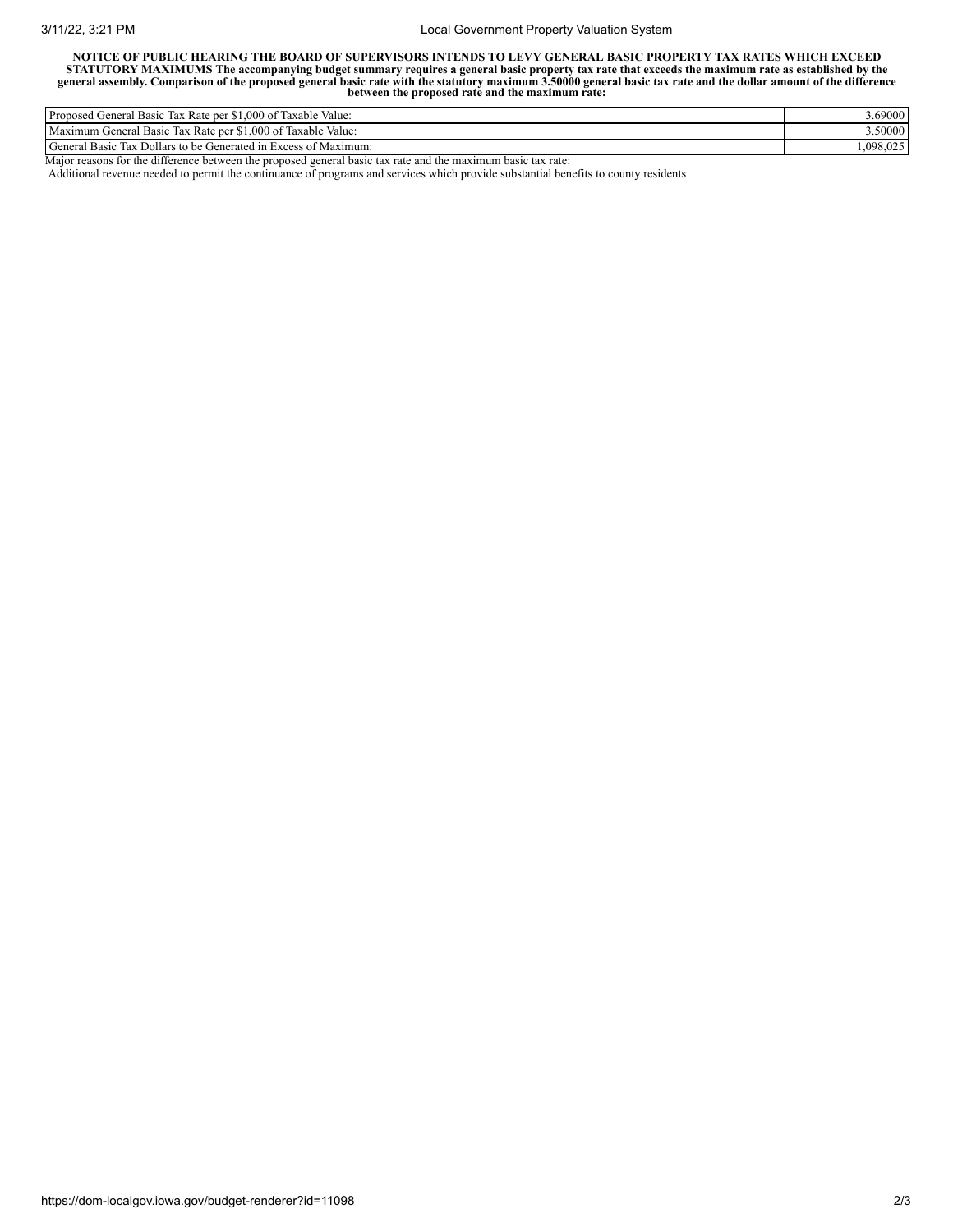## 3/11/22, 3:21 PM Local Government Property Valuation System

NOTICE OF PUBLIC HEARING THE BOARD OF SUPERVISORS INTENDS TO LEVY GENERAL BASIC PROPERTY TAX RATES WHICH EXCEED STATUTORY MAXIMUMS The accompanying budget summary requires a general basic property tax rate that exceeds the maximum rate as established by the<br>general assembly. Comparison of the proposed general basic rate with the sta **between the proposed rate and the maximum rate:**

| Proposed<br>$T$ $T$ $T$<br>$1.000 \text{ of } T$<br><sup>•</sup> Rate per<br>Value:<br>l'axable<br>Tax<br>General<br><b>Basic</b> | 3.69000   |
|-----------------------------------------------------------------------------------------------------------------------------------|-----------|
| $-1$<br>Maximum<br>.000 of<br>Taxable Value:<br><b>Tax</b><br>Rate per<br>Basic<br>t General                                      | 3.50000   |
| General<br>Dollars to be<br>s of Maximum:<br>Generated in Excess<br>Basic<br>1 ax                                                 | 1.098.025 |

Major reasons for the difference between the proposed general basic tax rate and the maximum basic tax rate:

Additional revenue needed to permit the continuance of programs and services which provide substantial benefits to county residents